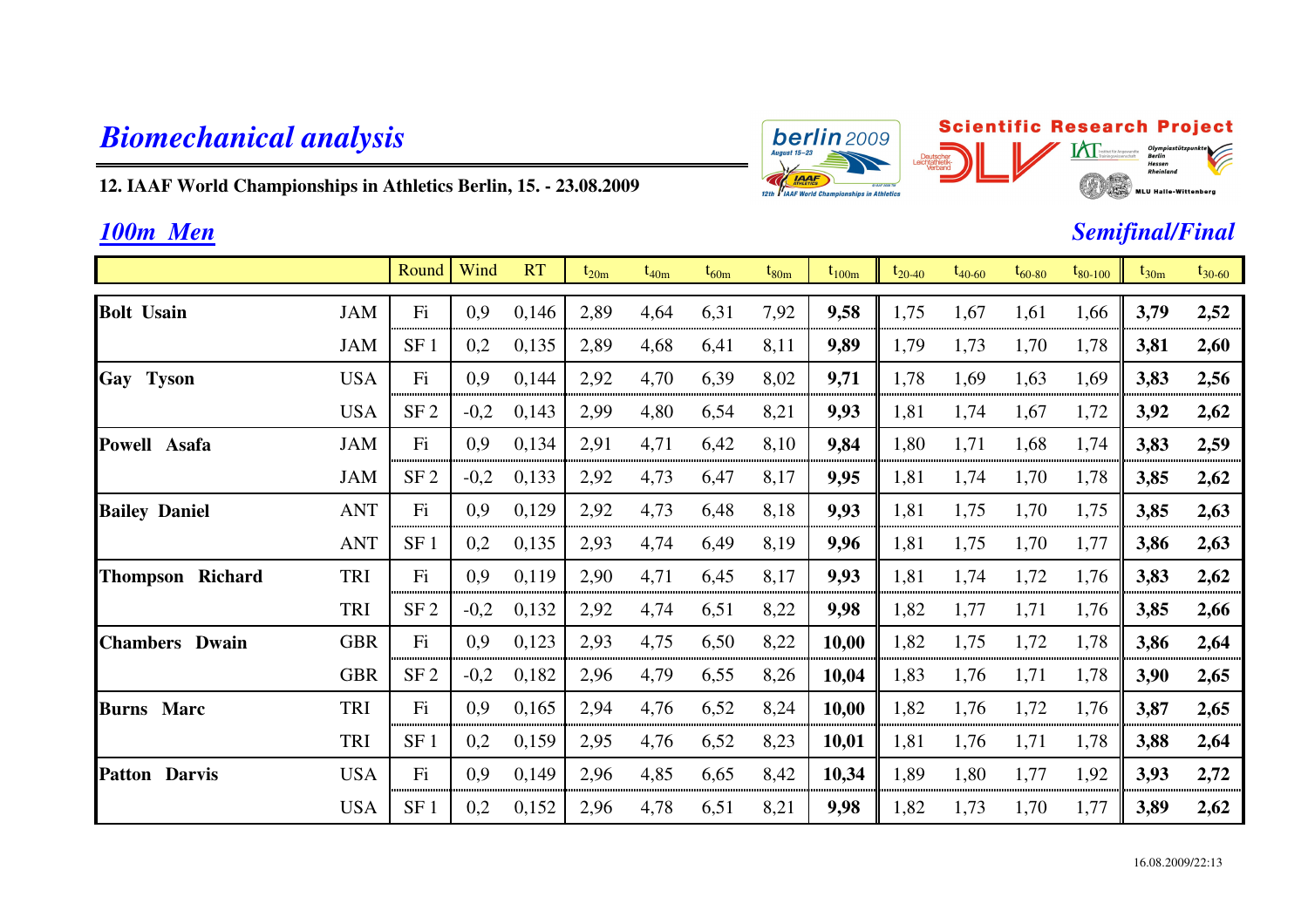## *Biomechanical analysis*

## **12. IAAF World Championships in Athletics Berlin, 15. - 23.08.2009**

## *100m Men*





## *Semifinal/Final*

|                       |            | Round           | Wind   | <b>RT</b> | $t_{20m}$ | $t_{40m}$ | $t_{60m}$ | $t_{80m}$ | $t_{100m}$ | $I_{20-40}$ | $t_{40-60}$ | $t_{60-80}$ | $t_{80-100}$ | $t_{30m}$ | $t_{30-60}$ |
|-----------------------|------------|-----------------|--------|-----------|-----------|-----------|-----------|-----------|------------|-------------|-------------|-------------|--------------|-----------|-------------|
| <b>Bolt Usain</b>     | <b>JAM</b> | Fi              | 0,9    | 0,146     | 2,89      | 4,64      | 6,31      | 7,92      | 9,58       | 1,75        | 1,67        | 1,61        | 1,66         | 3,79      | 2,52        |
|                       | <b>JAM</b> | SF <sub>1</sub> | 0,2    | 0,135     | 2,89      | 4,68      | 6,41      | 8,11      | 9,89       | 1,79        | 1,73        | 1,70        | 1,78         | 3,81      | 2,60        |
| Gay Tyson             | <b>USA</b> | Fi              | 0,9    | 0,144     | 2,92      | 4,70      | 6,39      | 8,02      | 9,71       | 1,78        | 1,69        | 1,63        | 1,69         | 3,83      | 2,56        |
|                       | <b>USA</b> | SF <sub>2</sub> | $-0,2$ | 0,143     | 2,99      | 4,80      | 6,54      | 8,21      | 9,93       | 1,81        | 1,74        | 1,67        | 1,72         | 3,92      | 2,62        |
| Powell Asafa          | <b>JAM</b> | Fi              | 0,9    | 0,134     | 2,91      | 4,71      | 6,42      | 8,10      | 9,84       | 1,80        | 1,71        | 1,68        | 1,74         | 3,83      | 2,59        |
|                       | <b>JAM</b> | SF <sub>2</sub> | $-0,2$ | 0,133     | 2,92      | 4,73      | 6,47      | 8,17      | 9,95       | 1,81        | 1,74        | 1,70        | 1,78         | 3,85      | 2,62        |
| <b>Bailey Daniel</b>  | <b>ANT</b> | Fi              | 0,9    | 0,129     | 2,92      | 4,73      | 6,48      | 8,18      | 9,93       | 1,81        | 1,75        | 1,70        | 1,75         | 3,85      | 2,63        |
|                       | <b>ANT</b> | SF <sub>1</sub> | 0,2    | 0,135     | 2,93      | 4,74      | 6,49      | 8,19      | 9,96       | 1,81        | 1,75        | 1,70        | 1,77         | 3,86      | 2,63        |
| Thompson Richard      | TRI        | Fi              | 0,9    | 0,119     | 2,90      | 4,71      | 6,45      | 8,17      | 9,93       | 1,81        | 1,74        | 1,72        | 1,76         | 3,83      | 2,62        |
|                       | <b>TRI</b> | SF 2            | $-0,2$ | 0,132     | 2,92      | 4,74      | 6,51      | 8,22      | 9,98       | 1,82        | 1,77        | 1,71        | 1,76         | 3,85      | 2,66        |
| <b>Chambers</b> Dwain | <b>GBR</b> | Fi              | 0,9    | 0,123     | 2,93      | 4,75      | 6,50      | 8,22      | 10,00      | 1,82        | 1,75        | 1,72        | 1,78         | 3,86      | 2,64        |
|                       | <b>GBR</b> | SF <sub>2</sub> | $-0,2$ | 0,182     | 2,96      | 4,79      | 6,55      | 8,26      | 10,04      | 1,83        | 1,76        | 1,71        | 1,78         | 3,90      | 2,65        |
| <b>Burns</b> Marc     | TRI        | Fi              | 0,9    | 0,165     | 2,94      | 4,76      | 6,52      | 8,24      | 10,00      | 1,82        | 1,76        | 1,72        | 1,76         | 3,87      | 2,65        |
|                       | TRI        | SF <sub>1</sub> | 0,2    | 0,159     | 2,95      | 4,76      | 6,52      | 8,23      | 10,01      | 1,81        | 1,76        | 1,71        | 1,78         | 3,88      | 2,64        |
| <b>Patton Darvis</b>  | <b>USA</b> | Fi              | 0,9    | 0,149     | 2,96      | 4,85      | 6,65      | 8,42      | 10,34      | 1,89        | 1,80        | 1,77        | 1,92         | 3,93      | 2,72        |
|                       | <b>USA</b> | SF <sub>1</sub> | 0,2    | 0,152     | 2,96      | 4,78      | 6,51      | 8,21      | 9,98       | 1,82        | 1,73        | 1,70        | 1,77         | 3,89      | 2,62        |